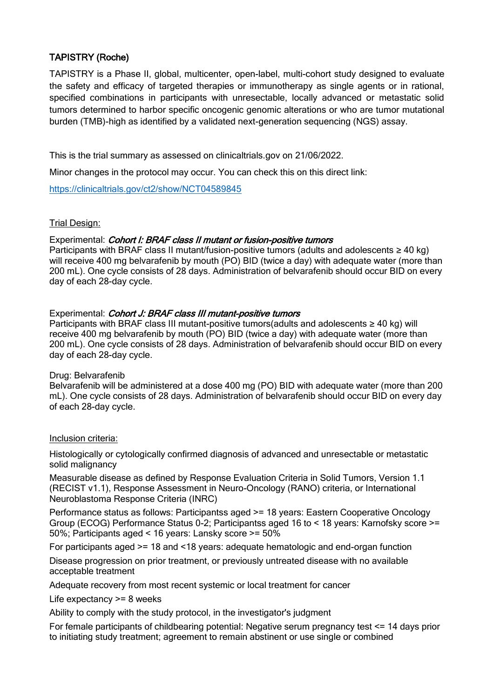# TAPISTRY (Roche)

TAPISTRY is a Phase II, global, multicenter, open-label, multi-cohort study designed to evaluate the safety and efficacy of targeted therapies or immunotherapy as single agents or in rational, specified combinations in participants with unresectable, locally advanced or metastatic solid tumors determined to harbor specific oncogenic genomic alterations or who are tumor mutational burden (TMB)-high as identified by a validated next-generation sequencing (NGS) assay.

This is the trial summary as assessed on clinicaltrials.gov on 21/06/2022.

Minor changes in the protocol may occur. You can check this on this direct link:

<https://clinicaltrials.gov/ct2/show/NCT04589845>

## Trial Design:

## Experimental: Cohort I: BRAF class II mutant or fusion-positive tumors

Participants with BRAF class II mutant/fusion-positive tumors (adults and adolescents ≥ 40 kg) will receive 400 mg belvarafenib by mouth (PO) BID (twice a day) with adequate water (more than 200 mL). One cycle consists of 28 days. Administration of belvarafenib should occur BID on every day of each 28-day cycle.

## Experimental: Cohort J: BRAF class III mutant-positive tumors

Participants with BRAF class III mutant-positive tumors(adults and adolescents ≥ 40 kg) will receive 400 mg belvarafenib by mouth (PO) BID (twice a day) with adequate water (more than 200 mL). One cycle consists of 28 days. Administration of belvarafenib should occur BID on every day of each 28-day cycle.

## Drug: Belvarafenib

Belvarafenib will be administered at a dose 400 mg (PO) BID with adequate water (more than 200 mL). One cycle consists of 28 days. Administration of belvarafenib should occur BID on every day of each 28-day cycle.

## Inclusion criteria:

Histologically or cytologically confirmed diagnosis of advanced and unresectable or metastatic solid malignancy

Measurable disease as defined by Response Evaluation Criteria in Solid Tumors, Version 1.1 (RECIST v1.1), Response Assessment in Neuro-Oncology (RANO) criteria, or International Neuroblastoma Response Criteria (INRC)

Performance status as follows: Participantss aged >= 18 years: Eastern Cooperative Oncology Group (ECOG) Performance Status 0-2; Participantss aged 16 to < 18 years: Karnofsky score >= 50%; Participants aged < 16 years: Lansky score >= 50%

For participants aged >= 18 and <18 years: adequate hematologic and end-organ function

Disease progression on prior treatment, or previously untreated disease with no available acceptable treatment

Adequate recovery from most recent systemic or local treatment for cancer

Life expectancy >= 8 weeks

Ability to comply with the study protocol, in the investigator's judgment

For female participants of childbearing potential: Negative serum pregnancy test <= 14 days prior to initiating study treatment; agreement to remain abstinent or use single or combined